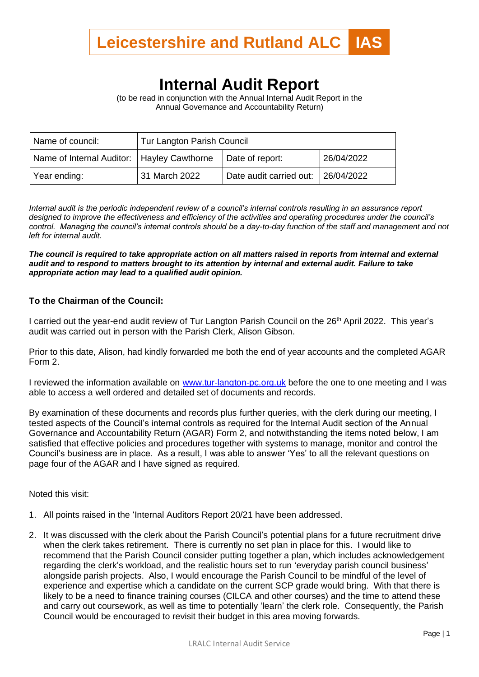

## **Internal Audit Report**

(to be read in conjunction with the Annual Internal Audit Report in the Annual Governance and Accountability Return)

| Name of council:                             | <b>Tur Langton Parish Council</b> |                                    |            |
|----------------------------------------------|-----------------------------------|------------------------------------|------------|
| Name of Internal Auditor:   Hayley Cawthorne |                                   | Date of report:                    | 26/04/2022 |
| Year ending:                                 | 31 March 2022                     | Date audit carried out: 26/04/2022 |            |

*Internal audit is the periodic independent review of a council's internal controls resulting in an assurance report designed to improve the effectiveness and efficiency of the activities and operating procedures under the council's control. Managing the council's internal controls should be a day-to-day function of the staff and management and not left for internal audit.*

*The council is required to take appropriate action on all matters raised in reports from internal and external audit and to respond to matters brought to its attention by internal and external audit. Failure to take appropriate action may lead to a qualified audit opinion.*

## **To the Chairman of the Council:**

I carried out the year-end audit review of Tur Langton Parish Council on the 26<sup>th</sup> April 2022. This year's audit was carried out in person with the Parish Clerk, Alison Gibson.

Prior to this date, Alison, had kindly forwarded me both the end of year accounts and the completed AGAR Form 2.

I reviewed the information available on www.tur-langton-pc.org.uk before the one to one meeting and I was able to access a well ordered and detailed set of documents and records.

By examination of these documents and records plus further queries, with the clerk during our meeting, I tested aspects of the Council's internal controls as required for the Internal Audit section of the Annual Governance and Accountability Return (AGAR) Form 2, and notwithstanding the items noted below, I am satisfied that effective policies and procedures together with systems to manage, monitor and control the Council's business are in place. As a result, I was able to answer 'Yes' to all the relevant questions on page four of the AGAR and I have signed as required.

Noted this visit:

- 1. All points raised in the 'Internal Auditors Report 20/21 have been addressed.
- 2. It was discussed with the clerk about the Parish Council's potential plans for a future recruitment drive when the clerk takes retirement. There is currently no set plan in place for this. I would like to recommend that the Parish Council consider putting together a plan, which includes acknowledgement regarding the clerk's workload, and the realistic hours set to run 'everyday parish council business' alongside parish projects. Also, I would encourage the Parish Council to be mindful of the level of experience and expertise which a candidate on the current SCP grade would bring. With that there is likely to be a need to finance training courses (CILCA and other courses) and the time to attend these and carry out coursework, as well as time to potentially 'learn' the clerk role. Consequently, the Parish Council would be encouraged to revisit their budget in this area moving forwards.